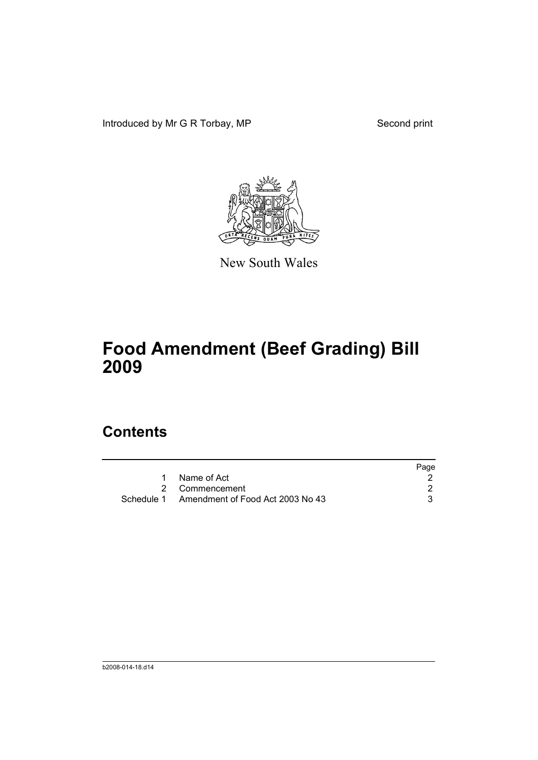Introduced by Mr G R Torbay, MP Second print



New South Wales

# **Food Amendment (Beef Grading) Bill 2009**

## **Contents**

|                                             | Page |
|---------------------------------------------|------|
| Name of Act                                 |      |
| 2 Commencement                              |      |
| Schedule 1 Amendment of Food Act 2003 No 43 |      |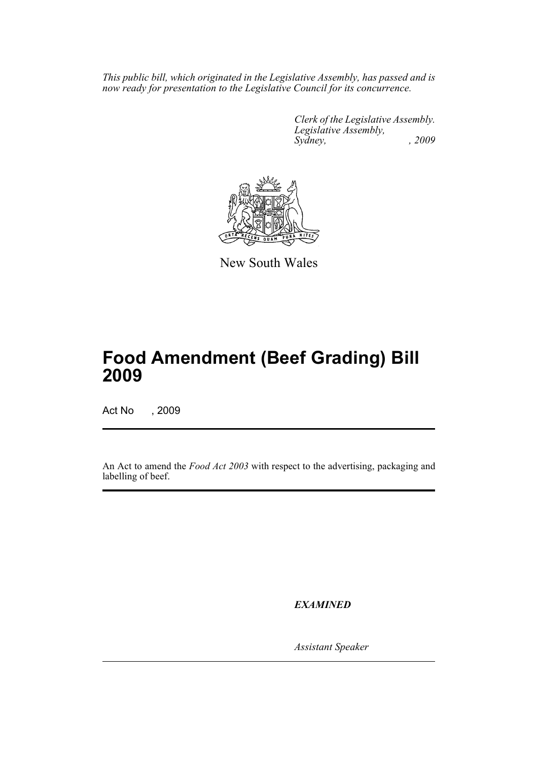*This public bill, which originated in the Legislative Assembly, has passed and is now ready for presentation to the Legislative Council for its concurrence.* 

> *Clerk of the Legislative Assembly. Legislative Assembly, Sydney, , 2009*



New South Wales

# **Food Amendment (Beef Grading) Bill 2009**

Act No , 2009

An Act to amend the *Food Act 2003* with respect to the advertising, packaging and labelling of beef.

*EXAMINED*

*Assistant Speaker*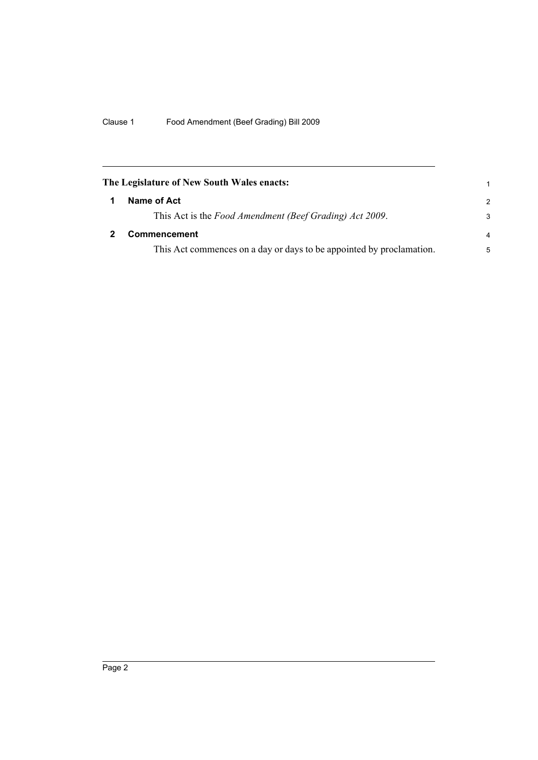<span id="page-3-1"></span><span id="page-3-0"></span>

| The Legislature of New South Wales enacts: |                                                                      |                |
|--------------------------------------------|----------------------------------------------------------------------|----------------|
|                                            | Name of Act                                                          | $\mathcal{P}$  |
|                                            | This Act is the Food Amendment (Beef Grading) Act 2009.              | 3              |
|                                            | <b>Commencement</b>                                                  | $\overline{a}$ |
|                                            | This Act commences on a day or days to be appointed by proclamation. | 5              |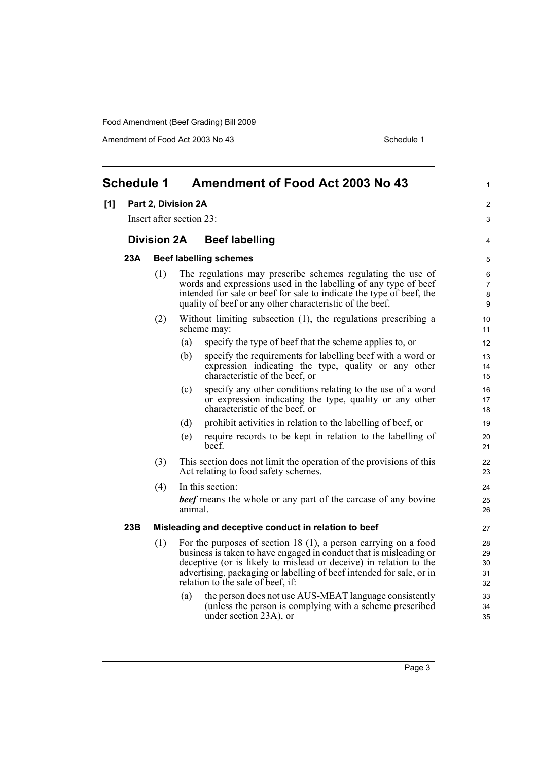Amendment of Food Act 2003 No 43 Schedule 1

<span id="page-4-0"></span>

| <b>Schedule 1</b> |                                                                         |                                                                                                                                                                                                                                                                                                                                   | <b>Amendment of Food Act 2003 No 43</b> | $\mathbf{1}$                                                                                                                                                                                                                                                       |                               |
|-------------------|-------------------------------------------------------------------------|-----------------------------------------------------------------------------------------------------------------------------------------------------------------------------------------------------------------------------------------------------------------------------------------------------------------------------------|-----------------------------------------|--------------------------------------------------------------------------------------------------------------------------------------------------------------------------------------------------------------------------------------------------------------------|-------------------------------|
| [1]               |                                                                         | Part 2, Division 2A                                                                                                                                                                                                                                                                                                               |                                         |                                                                                                                                                                                                                                                                    | $\overline{2}$                |
|                   | Insert after section 23:<br><b>Division 2A</b><br><b>Beef labelling</b> |                                                                                                                                                                                                                                                                                                                                   | 3                                       |                                                                                                                                                                                                                                                                    |                               |
|                   |                                                                         |                                                                                                                                                                                                                                                                                                                                   |                                         |                                                                                                                                                                                                                                                                    | 4                             |
|                   | 23A                                                                     |                                                                                                                                                                                                                                                                                                                                   |                                         | <b>Beef labelling schemes</b>                                                                                                                                                                                                                                      | 5                             |
|                   |                                                                         | (1)                                                                                                                                                                                                                                                                                                                               |                                         | The regulations may prescribe schemes regulating the use of<br>words and expressions used in the labelling of any type of beef<br>intended for sale or beef for sale to indicate the type of beef, the<br>quality of beef or any other characteristic of the beef. | 6<br>$\overline{7}$<br>8<br>9 |
|                   |                                                                         | (2)                                                                                                                                                                                                                                                                                                                               |                                         | Without limiting subsection (1), the regulations prescribing a<br>scheme may:                                                                                                                                                                                      | 10<br>11                      |
|                   |                                                                         |                                                                                                                                                                                                                                                                                                                                   | (a)                                     | specify the type of beef that the scheme applies to, or                                                                                                                                                                                                            | 12                            |
|                   |                                                                         |                                                                                                                                                                                                                                                                                                                                   | (b)                                     | specify the requirements for labelling beef with a word or<br>expression indicating the type, quality or any other<br>characteristic of the beef, or                                                                                                               | 13<br>14<br>15                |
|                   |                                                                         |                                                                                                                                                                                                                                                                                                                                   | (c)                                     | specify any other conditions relating to the use of a word<br>or expression indicating the type, quality or any other<br>characteristic of the beef, or                                                                                                            | 16<br>17<br>18                |
|                   |                                                                         |                                                                                                                                                                                                                                                                                                                                   | (d)                                     | prohibit activities in relation to the labelling of beef, or                                                                                                                                                                                                       | 19                            |
|                   |                                                                         |                                                                                                                                                                                                                                                                                                                                   | (e)                                     | require records to be kept in relation to the labelling of<br>beef.                                                                                                                                                                                                | 20<br>21                      |
|                   |                                                                         | (3)                                                                                                                                                                                                                                                                                                                               |                                         | This section does not limit the operation of the provisions of this<br>Act relating to food safety schemes.                                                                                                                                                        | 22<br>23                      |
|                   |                                                                         | (4)                                                                                                                                                                                                                                                                                                                               |                                         | In this section:                                                                                                                                                                                                                                                   | 24                            |
|                   |                                                                         |                                                                                                                                                                                                                                                                                                                                   | animal.                                 | <b>beef</b> means the whole or any part of the carcase of any bovine                                                                                                                                                                                               | 25<br>26                      |
|                   | 23B                                                                     |                                                                                                                                                                                                                                                                                                                                   |                                         | Misleading and deceptive conduct in relation to beef                                                                                                                                                                                                               | 27                            |
|                   |                                                                         | (1)<br>For the purposes of section 18 $(1)$ , a person carrying on a food<br>business is taken to have engaged in conduct that is misleading or<br>deceptive (or is likely to mislead or deceive) in relation to the<br>advertising, packaging or labelling of beef intended for sale, or in<br>relation to the sale of beef, if: |                                         | 28<br>29<br>30<br>31<br>32                                                                                                                                                                                                                                         |                               |
|                   |                                                                         |                                                                                                                                                                                                                                                                                                                                   | (a)                                     | the person does not use AUS-MEAT language consistently<br>(unless the person is complying with a scheme prescribed<br>under section 23A), or                                                                                                                       | 33<br>34<br>35                |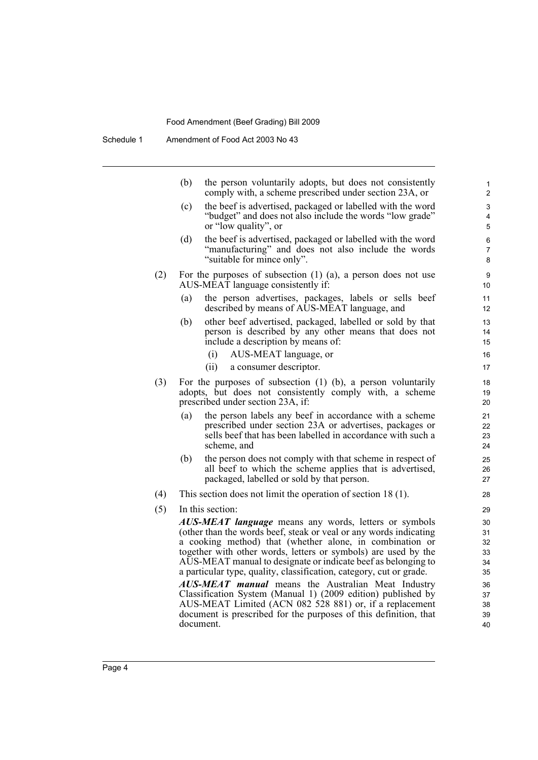| (b)       | the person voluntarily adopts, but does not consistently<br>comply with, a scheme prescribed under section 23A, or                                                                              | 1<br>$\overline{2}$                                                                                                                                                                                                                                                                                                                                                                                                                                                                                                                                                                                                                                                                                                                                                                                                                                                                                                                                                                                                                                                 |
|-----------|-------------------------------------------------------------------------------------------------------------------------------------------------------------------------------------------------|---------------------------------------------------------------------------------------------------------------------------------------------------------------------------------------------------------------------------------------------------------------------------------------------------------------------------------------------------------------------------------------------------------------------------------------------------------------------------------------------------------------------------------------------------------------------------------------------------------------------------------------------------------------------------------------------------------------------------------------------------------------------------------------------------------------------------------------------------------------------------------------------------------------------------------------------------------------------------------------------------------------------------------------------------------------------|
| (c)       | the beef is advertised, packaged or labelled with the word<br>"budget" and does not also include the words "low grade"<br>or "low quality", or                                                  | 3<br>4<br>5                                                                                                                                                                                                                                                                                                                                                                                                                                                                                                                                                                                                                                                                                                                                                                                                                                                                                                                                                                                                                                                         |
| (d)       | the beef is advertised, packaged or labelled with the word<br>"manufacturing" and does not also include the words<br>"suitable for mince only".                                                 | 6<br>$\overline{7}$<br>8                                                                                                                                                                                                                                                                                                                                                                                                                                                                                                                                                                                                                                                                                                                                                                                                                                                                                                                                                                                                                                            |
|           |                                                                                                                                                                                                 | 9<br>10                                                                                                                                                                                                                                                                                                                                                                                                                                                                                                                                                                                                                                                                                                                                                                                                                                                                                                                                                                                                                                                             |
| (a)       | the person advertises, packages, labels or sells beef<br>described by means of AUS-MEAT language, and                                                                                           | 11<br>12                                                                                                                                                                                                                                                                                                                                                                                                                                                                                                                                                                                                                                                                                                                                                                                                                                                                                                                                                                                                                                                            |
| (b)       | other beef advertised, packaged, labelled or sold by that<br>person is described by any other means that does not<br>include a description by means of:                                         | 13<br>14<br>15<br>16                                                                                                                                                                                                                                                                                                                                                                                                                                                                                                                                                                                                                                                                                                                                                                                                                                                                                                                                                                                                                                                |
|           | (ii)<br>a consumer descriptor.                                                                                                                                                                  | 17                                                                                                                                                                                                                                                                                                                                                                                                                                                                                                                                                                                                                                                                                                                                                                                                                                                                                                                                                                                                                                                                  |
|           |                                                                                                                                                                                                 | 18<br>19<br>20                                                                                                                                                                                                                                                                                                                                                                                                                                                                                                                                                                                                                                                                                                                                                                                                                                                                                                                                                                                                                                                      |
| (a)       | the person labels any beef in accordance with a scheme<br>prescribed under section 23A or advertises, packages or<br>sells beef that has been labelled in accordance with such a<br>scheme, and | 21<br>22<br>23<br>24                                                                                                                                                                                                                                                                                                                                                                                                                                                                                                                                                                                                                                                                                                                                                                                                                                                                                                                                                                                                                                                |
| (b)       | the person does not comply with that scheme in respect of<br>all beef to which the scheme applies that is advertised,<br>packaged, labelled or sold by that person.                             | 25<br>26<br>27                                                                                                                                                                                                                                                                                                                                                                                                                                                                                                                                                                                                                                                                                                                                                                                                                                                                                                                                                                                                                                                      |
|           |                                                                                                                                                                                                 | 28                                                                                                                                                                                                                                                                                                                                                                                                                                                                                                                                                                                                                                                                                                                                                                                                                                                                                                                                                                                                                                                                  |
| document. |                                                                                                                                                                                                 | 29<br>30<br>31<br>32<br>33<br>34<br>35<br>36<br>37<br>38<br>39                                                                                                                                                                                                                                                                                                                                                                                                                                                                                                                                                                                                                                                                                                                                                                                                                                                                                                                                                                                                      |
|           |                                                                                                                                                                                                 | For the purposes of subsection $(1)$ $(a)$ , a person does not use<br>AUS-MÊAT language consistently if:<br>AUS-MEAT language, or<br>(i)<br>For the purposes of subsection $(1)$ $(b)$ , a person voluntarily<br>adopts, but does not consistently comply with, a scheme<br>prescribed under section 23A, if:<br>This section does not limit the operation of section $18(1)$ .<br>In this section:<br><b>AUS-MEAT language</b> means any words, letters or symbols<br>(other than the words beef, steak or yeal or any words indicating<br>a cooking method) that (whether alone, in combination or<br>together with other words, letters or symbols) are used by the<br>AUS-MEAT manual to designate or indicate beef as belonging to<br>a particular type, quality, classification, category, cut or grade.<br>AUS-MEAT manual means the Australian Meat Industry<br>Classification System (Manual 1) (2009 edition) published by<br>AUS-MEAT Limited (ACN 082 528 881) or, if a replacement<br>document is prescribed for the purposes of this definition, that |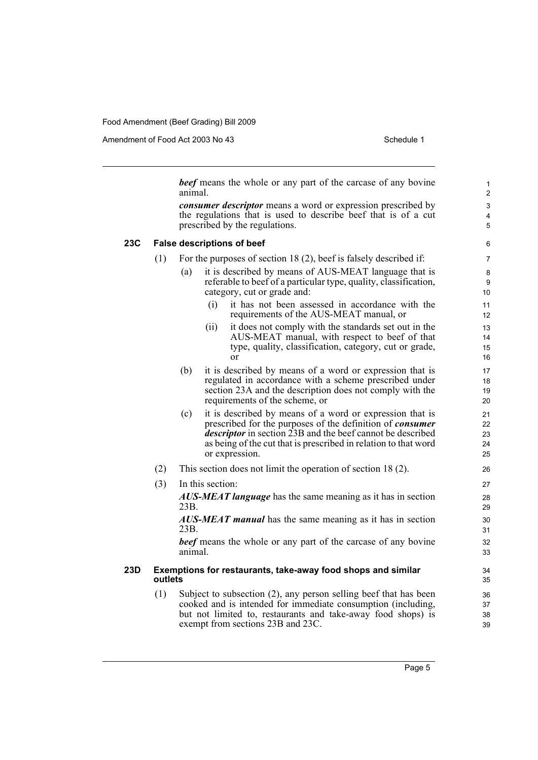Amendment of Food Act 2003 No 43 Schedule 1

*beef* means the whole or any part of the carcase of any bovine animal.

*consumer descriptor* means a word or expression prescribed by the regulations that is used to describe beef that is of a cut prescribed by the regulations.

### **23C False descriptions of beef**

- (1) For the purposes of section 18 (2), beef is falsely described if:
	- (a) it is described by means of AUS-MEAT language that is referable to beef of a particular type, quality, classification, category, cut or grade and:
		- (i) it has not been assessed in accordance with the requirements of the AUS-MEAT manual, or
		- (ii) it does not comply with the standards set out in the AUS-MEAT manual, with respect to beef of that type, quality, classification, category, cut or grade, or
	- (b) it is described by means of a word or expression that is regulated in accordance with a scheme prescribed under section 23A and the description does not comply with the requirements of the scheme, or
	- (c) it is described by means of a word or expression that is prescribed for the purposes of the definition of *consumer descriptor* in section 23B and the beef cannot be described as being of the cut that is prescribed in relation to that word or expression.
- (2) This section does not limit the operation of section 18 (2).
- (3) In this section: *AUS-MEAT language* has the same meaning as it has in section 23B.

*AUS-MEAT manual* has the same meaning as it has in section 23B.

*beef* means the whole or any part of the carcase of any bovine animal.

### **23D Exemptions for restaurants, take-away food shops and similar outlets**

(1) Subject to subsection (2), any person selling beef that has been cooked and is intended for immediate consumption (including, but not limited to, restaurants and take-away food shops) is exempt from sections 23B and 23C.